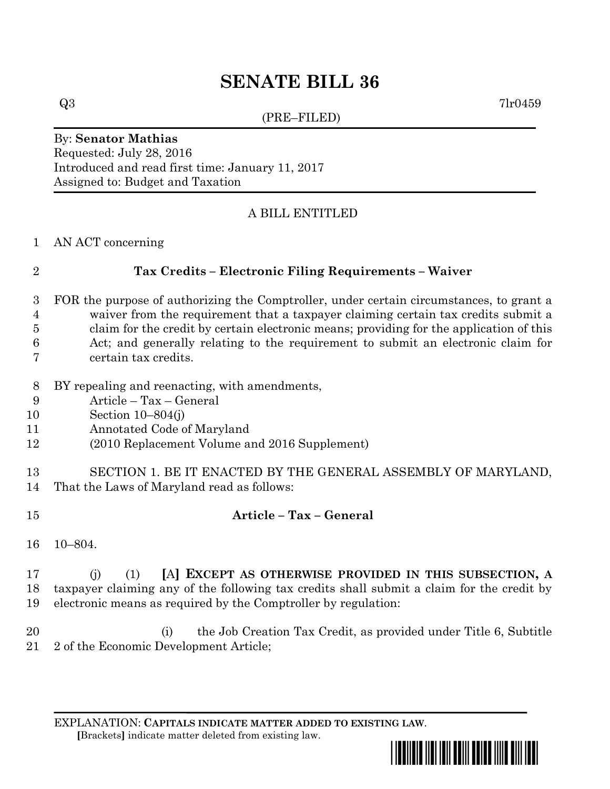# **SENATE BILL 36**

(PRE–FILED)

 $Q3$  7lr0459

## By: **Senator Mathias** Requested: July 28, 2016

Introduced and read first time: January 11, 2017 Assigned to: Budget and Taxation

### A BILL ENTITLED

AN ACT concerning

### **Tax Credits – Electronic Filing Requirements – Waiver**

- FOR the purpose of authorizing the Comptroller, under certain circumstances, to grant a waiver from the requirement that a taxpayer claiming certain tax credits submit a claim for the credit by certain electronic means; providing for the application of this
- Act; and generally relating to the requirement to submit an electronic claim for
- certain tax credits.
- BY repealing and reenacting, with amendments,
- Article Tax General
- Section 10–804(j)
- Annotated Code of Maryland
- (2010 Replacement Volume and 2016 Supplement)
- SECTION 1. BE IT ENACTED BY THE GENERAL ASSEMBLY OF MARYLAND, That the Laws of Maryland read as follows:
- **Article – Tax – General**
- 10–804.

#### (j) (1) **[**A**] EXCEPT AS OTHERWISE PROVIDED IN THIS SUBSECTION, A** taxpayer claiming any of the following tax credits shall submit a claim for the credit by electronic means as required by the Comptroller by regulation:

20 (i) the Job Creation Tax Credit, as provided under Title 6, Subtitle 2 of the Economic Development Article;

EXPLANATION: **CAPITALS INDICATE MATTER ADDED TO EXISTING LAW**.  **[**Brackets**]** indicate matter deleted from existing law.